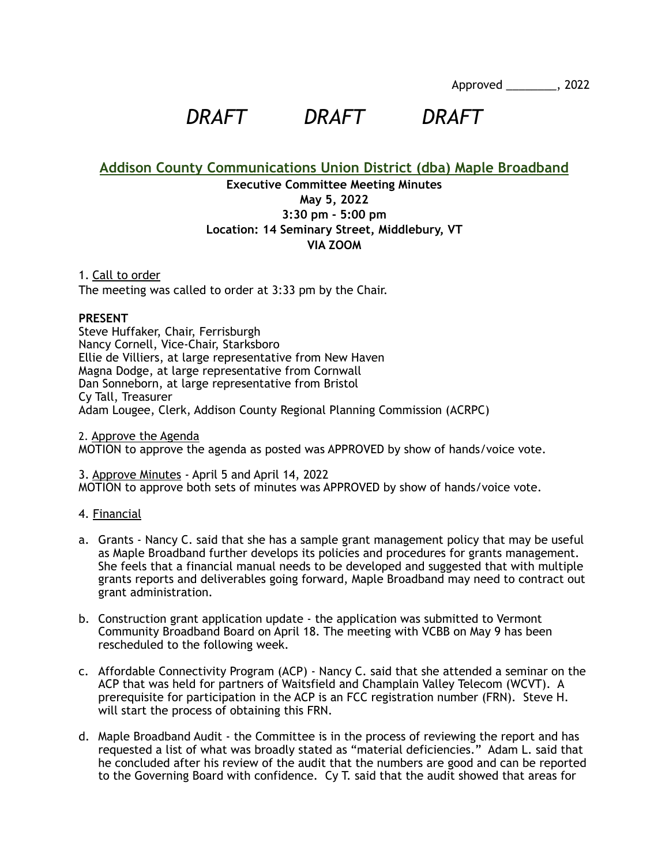Approved \_\_\_\_\_\_\_\_, 2022

*DRAFT DRAFT DRAFT*

**Addison County Communications Union District (dba) Maple Broadband**

# **Executive Committee Meeting Minutes May 5, 2022 3:30 pm - 5:00 pm Location: 14 Seminary Street, Middlebury, VT VIA ZOOM**

1. Call to order The meeting was called to order at 3:33 pm by the Chair.

## **PRESENT**

Steve Huffaker, Chair, Ferrisburgh Nancy Cornell, Vice-Chair, Starksboro Ellie de Villiers, at large representative from New Haven Magna Dodge, at large representative from Cornwall Dan Sonneborn, at large representative from Bristol Cy Tall, Treasurer Adam Lougee, Clerk, Addison County Regional Planning Commission (ACRPC)

2. Approve the Agenda MOTION to approve the agenda as posted was APPROVED by show of hands/voice vote.

3. Approve Minutes - April 5 and April 14, 2022 MOTION to approve both sets of minutes was APPROVED by show of hands/voice vote.

### 4. Financial

- a. Grants Nancy C. said that she has a sample grant management policy that may be useful as Maple Broadband further develops its policies and procedures for grants management. She feels that a financial manual needs to be developed and suggested that with multiple grants reports and deliverables going forward, Maple Broadband may need to contract out grant administration.
- b. Construction grant application update the application was submitted to Vermont Community Broadband Board on April 18. The meeting with VCBB on May 9 has been rescheduled to the following week.
- c. Affordable Connectivity Program (ACP) Nancy C. said that she attended a seminar on the ACP that was held for partners of Waitsfield and Champlain Valley Telecom (WCVT). A prerequisite for participation in the ACP is an FCC registration number (FRN). Steve H. will start the process of obtaining this FRN.
- d. Maple Broadband Audit the Committee is in the process of reviewing the report and has requested a list of what was broadly stated as "material deficiencies." Adam L. said that he concluded after his review of the audit that the numbers are good and can be reported to the Governing Board with confidence. Cy T. said that the audit showed that areas for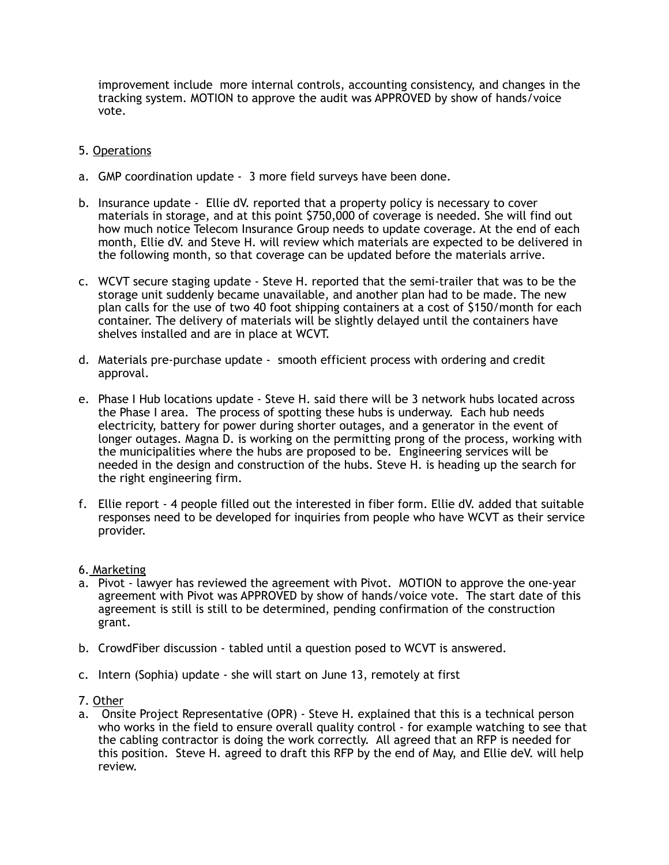improvement include more internal controls, accounting consistency, and changes in the tracking system. MOTION to approve the audit was APPROVED by show of hands/voice vote.

# 5. Operations

- a. GMP coordination update 3 more field surveys have been done.
- b. Insurance update Ellie dV. reported that a property policy is necessary to cover materials in storage, and at this point \$750,000 of coverage is needed. She will find out how much notice Telecom Insurance Group needs to update coverage. At the end of each month, Ellie dV. and Steve H. will review which materials are expected to be delivered in the following month, so that coverage can be updated before the materials arrive.
- c. WCVT secure staging update Steve H. reported that the semi-trailer that was to be the storage unit suddenly became unavailable, and another plan had to be made. The new plan calls for the use of two 40 foot shipping containers at a cost of \$150/month for each container. The delivery of materials will be slightly delayed until the containers have shelves installed and are in place at WCVT.
- d. Materials pre-purchase update smooth efficient process with ordering and credit approval.
- e. Phase I Hub locations update Steve H. said there will be 3 network hubs located across the Phase I area. The process of spotting these hubs is underway. Each hub needs electricity, battery for power during shorter outages, and a generator in the event of longer outages. Magna D. is working on the permitting prong of the process, working with the municipalities where the hubs are proposed to be. Engineering services will be needed in the design and construction of the hubs. Steve H. is heading up the search for the right engineering firm.
- f. Ellie report 4 people filled out the interested in fiber form. Ellie dV. added that suitable responses need to be developed for inquiries from people who have WCVT as their service provider.
- 6. Marketing
- a. Pivot lawyer has reviewed the agreement with Pivot. MOTION to approve the one-year agreement with Pivot was APPROVED by show of hands/voice vote. The start date of this agreement is still is still to be determined, pending confirmation of the construction grant.
- b. CrowdFiber discussion tabled until a question posed to WCVT is answered.
- c. Intern (Sophia) update she will start on June 13, remotely at first
- 7. Other
- a. Onsite Project Representative (OPR) Steve H. explained that this is a technical person who works in the field to ensure overall quality control - for example watching to see that the cabling contractor is doing the work correctly. All agreed that an RFP is needed for this position. Steve H. agreed to draft this RFP by the end of May, and Ellie deV. will help review.